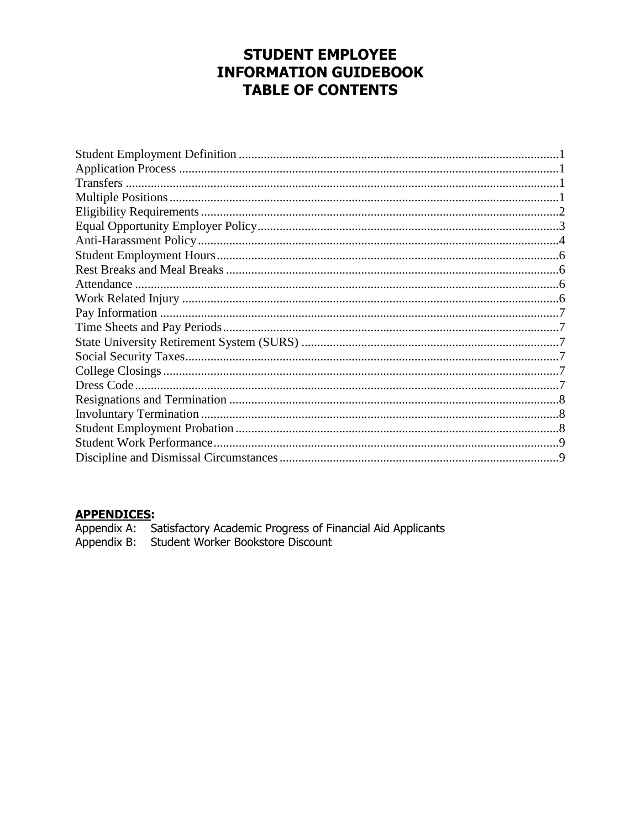## **STUDENT EMPLOYEE INFORMATION GUIDEBOOK TABLE OF CONTENTS**

### **APPENDICES:**

Appendix A: Satisfactory Academic Progress of Financial Aid Applicants<br>Appendix B: Student Worker Bookstore Discount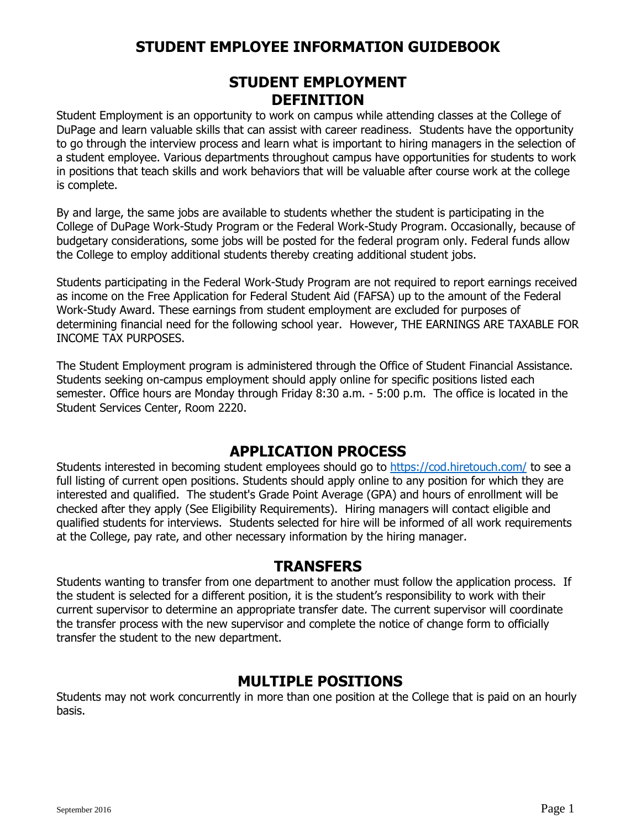### **STUDENT EMPLOYMENT DEFINITION**

Student Employment is an opportunity to work on campus while attending classes at the College of DuPage and learn valuable skills that can assist with career readiness. Students have the opportunity to go through the interview process and learn what is important to hiring managers in the selection of a student employee. Various departments throughout campus have opportunities for students to work in positions that teach skills and work behaviors that will be valuable after course work at the college is complete.

By and large, the same jobs are available to students whether the student is participating in the College of DuPage Work-Study Program or the Federal Work-Study Program. Occasionally, because of budgetary considerations, some jobs will be posted for the federal program only. Federal funds allow the College to employ additional students thereby creating additional student jobs.

Students participating in the Federal Work-Study Program are not required to report earnings received as income on the Free Application for Federal Student Aid (FAFSA) up to the amount of the Federal Work-Study Award. These earnings from student employment are excluded for purposes of determining financial need for the following school year. However, THE EARNINGS ARE TAXABLE FOR INCOME TAX PURPOSES.

The Student Employment program is administered through the Office of Student Financial Assistance. Students seeking on-campus employment should apply online for specific positions listed each semester. Office hours are Monday through Friday 8:30 a.m. - 5:00 p.m. The office is located in the Student Services Center, Room 2220.

### **APPLICATION PROCESS**

Students interested in becoming student employees should go to<https://cod.hiretouch.com/> to see a full listing of current open positions. Students should apply online to any position for which they are interested and qualified. The student's Grade Point Average (GPA) and hours of enrollment will be checked after they apply (See Eligibility Requirements). Hiring managers will contact eligible and qualified students for interviews. Students selected for hire will be informed of all work requirements at the College, pay rate, and other necessary information by the hiring manager.

### **TRANSFERS**

Students wanting to transfer from one department to another must follow the application process. If the student is selected for a different position, it is the student's responsibility to work with their current supervisor to determine an appropriate transfer date. The current supervisor will coordinate the transfer process with the new supervisor and complete the notice of change form to officially transfer the student to the new department.

### **MULTIPLE POSITIONS**

Students may not work concurrently in more than one position at the College that is paid on an hourly basis.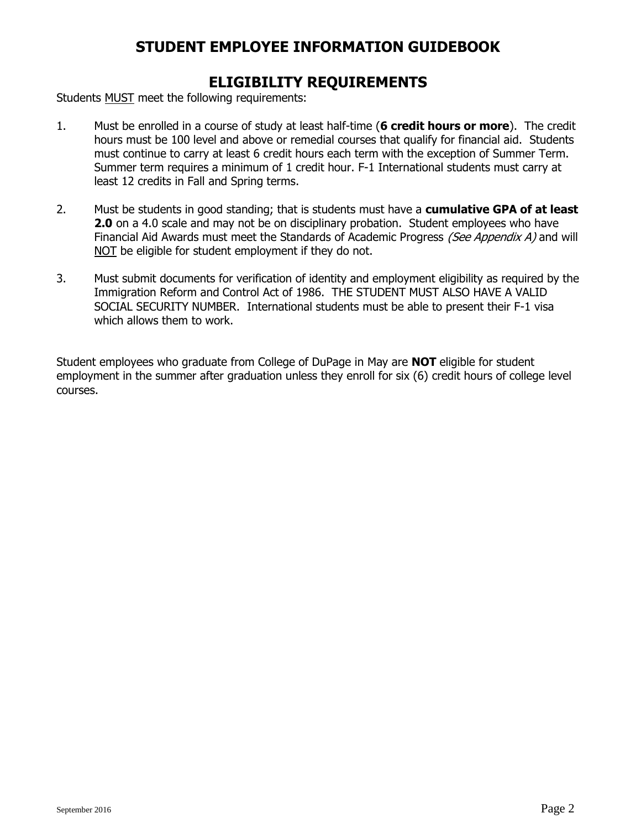### **ELIGIBILITY REQUIREMENTS**

Students MUST meet the following requirements:

- 1. Must be enrolled in a course of study at least half-time (**6 credit hours or more**). The credit hours must be 100 level and above or remedial courses that qualify for financial aid. Students must continue to carry at least 6 credit hours each term with the exception of Summer Term. Summer term requires a minimum of 1 credit hour. F-1 International students must carry at least 12 credits in Fall and Spring terms.
- 2. Must be students in good standing; that is students must have a **cumulative GPA of at least 2.0** on a 4.0 scale and may not be on disciplinary probation. Student employees who have Financial Aid Awards must meet the Standards of Academic Progress (See Appendix A) and will NOT be eligible for student employment if they do not.
- 3. Must submit documents for verification of identity and employment eligibility as required by the Immigration Reform and Control Act of 1986. THE STUDENT MUST ALSO HAVE A VALID SOCIAL SECURITY NUMBER. International students must be able to present their F-1 visa which allows them to work.

Student employees who graduate from College of DuPage in May are **NOT** eligible for student employment in the summer after graduation unless they enroll for six (6) credit hours of college level courses.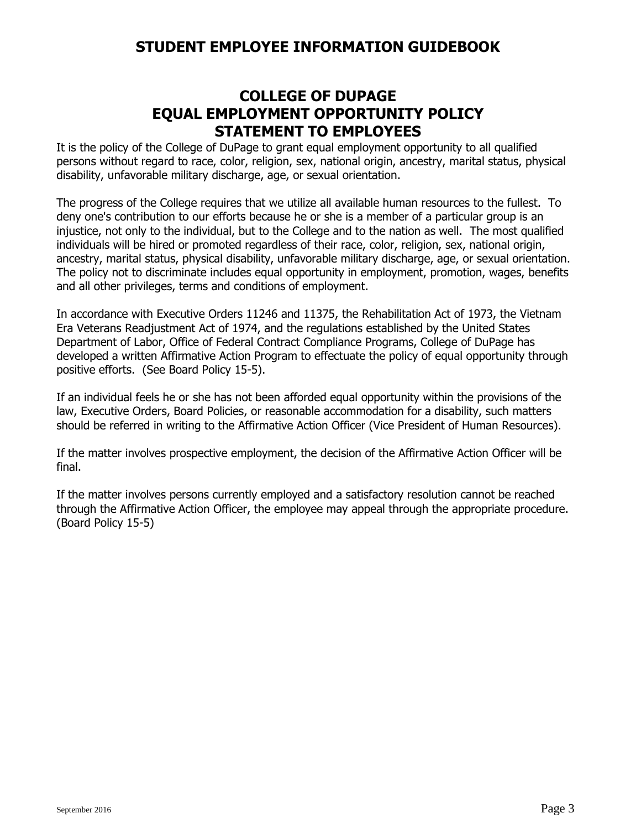## **COLLEGE OF DUPAGE EQUAL EMPLOYMENT OPPORTUNITY POLICY STATEMENT TO EMPLOYEES**

It is the policy of the College of DuPage to grant equal employment opportunity to all qualified persons without regard to race, color, religion, sex, national origin, ancestry, marital status, physical disability, unfavorable military discharge, age, or sexual orientation.

The progress of the College requires that we utilize all available human resources to the fullest. To deny one's contribution to our efforts because he or she is a member of a particular group is an injustice, not only to the individual, but to the College and to the nation as well. The most qualified individuals will be hired or promoted regardless of their race, color, religion, sex, national origin, ancestry, marital status, physical disability, unfavorable military discharge, age, or sexual orientation. The policy not to discriminate includes equal opportunity in employment, promotion, wages, benefits and all other privileges, terms and conditions of employment.

In accordance with Executive Orders 11246 and 11375, the Rehabilitation Act of 1973, the Vietnam Era Veterans Readjustment Act of 1974, and the regulations established by the United States Department of Labor, Office of Federal Contract Compliance Programs, College of DuPage has developed a written Affirmative Action Program to effectuate the policy of equal opportunity through positive efforts. (See Board Policy 15-5).

If an individual feels he or she has not been afforded equal opportunity within the provisions of the law, Executive Orders, Board Policies, or reasonable accommodation for a disability, such matters should be referred in writing to the Affirmative Action Officer (Vice President of Human Resources).

If the matter involves prospective employment, the decision of the Affirmative Action Officer will be final.

If the matter involves persons currently employed and a satisfactory resolution cannot be reached through the Affirmative Action Officer, the employee may appeal through the appropriate procedure. (Board Policy 15-5)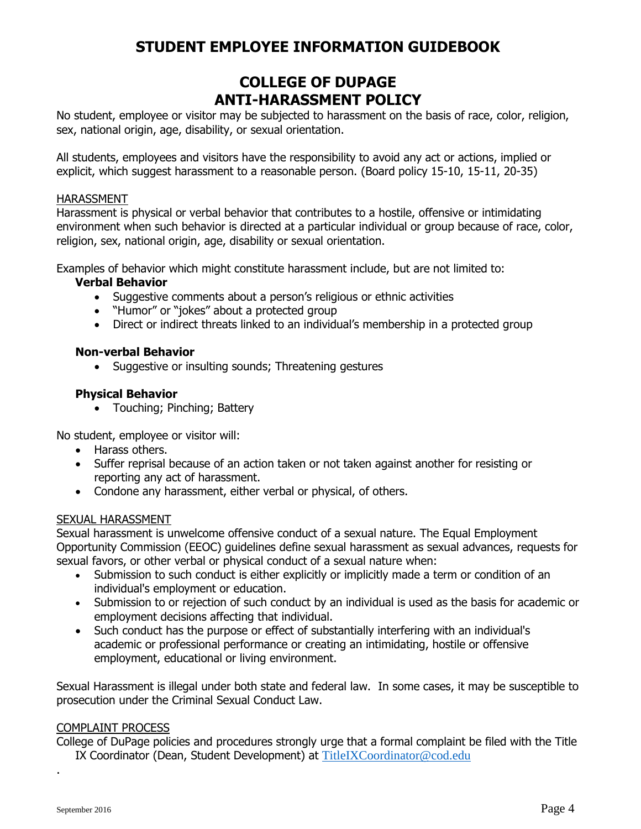## **COLLEGE OF DUPAGE ANTI-HARASSMENT POLICY**

No student, employee or visitor may be subjected to harassment on the basis of race, color, religion, sex, national origin, age, disability, or sexual orientation.

All students, employees and visitors have the responsibility to avoid any act or actions, implied or explicit, which suggest harassment to a reasonable person. (Board policy 15-10, 15-11, 20-35)

#### HARASSMENT

Harassment is physical or verbal behavior that contributes to a hostile, offensive or intimidating environment when such behavior is directed at a particular individual or group because of race, color, religion, sex, national origin, age, disability or sexual orientation.

Examples of behavior which might constitute harassment include, but are not limited to:

#### **Verbal Behavior**

- Suggestive comments about a person's religious or ethnic activities
- "Humor" or "jokes" about a protected group
- Direct or indirect threats linked to an individual's membership in a protected group

#### **Non-verbal Behavior**

• Suggestive or insulting sounds; Threatening gestures

#### **Physical Behavior**

• Touching; Pinching; Battery

No student, employee or visitor will:

- Harass others.
- Suffer reprisal because of an action taken or not taken against another for resisting or reporting any act of harassment.
- Condone any harassment, either verbal or physical, of others.

#### SEXUAL HARASSMENT

Sexual harassment is unwelcome offensive conduct of a sexual nature. The Equal Employment Opportunity Commission (EEOC) guidelines define sexual harassment as sexual advances, requests for sexual favors, or other verbal or physical conduct of a sexual nature when:

- Submission to such conduct is either explicitly or implicitly made a term or condition of an individual's employment or education.
- Submission to or rejection of such conduct by an individual is used as the basis for academic or employment decisions affecting that individual.
- Such conduct has the purpose or effect of substantially interfering with an individual's academic or professional performance or creating an intimidating, hostile or offensive employment, educational or living environment.

Sexual Harassment is illegal under both state and federal law. In some cases, it may be susceptible to prosecution under the Criminal Sexual Conduct Law.

#### COMPLAINT PROCESS

College of DuPage policies and procedures strongly urge that a formal complaint be filed with the Title IX Coordinator (Dean, Student Development) at [TitleIXCoordinator@cod.edu](mailto:TitleIXCoordinator@cod.edu)

.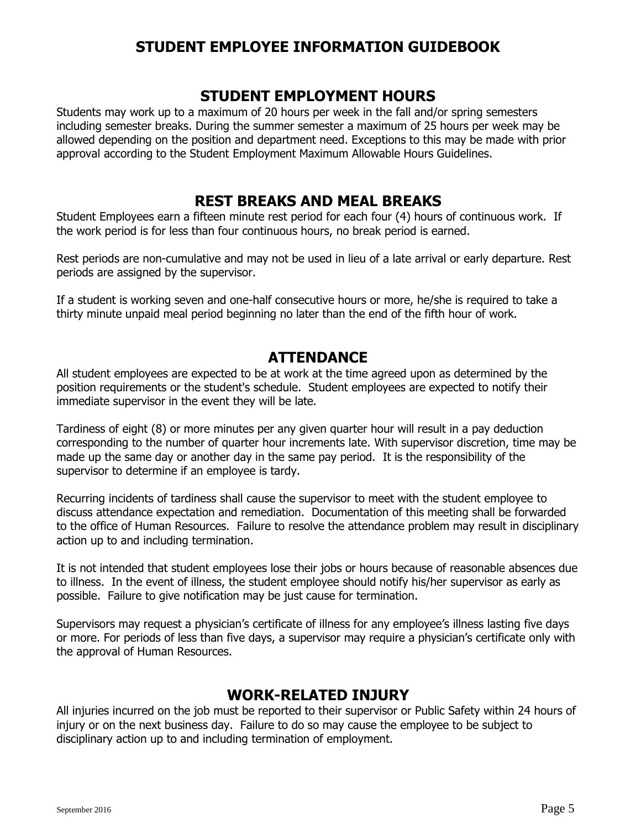### **STUDENT EMPLOYMENT HOURS**

Students may work up to a maximum of 20 hours per week in the fall and/or spring semesters including semester breaks. During the summer semester a maximum of 25 hours per week may be allowed depending on the position and department need. Exceptions to this may be made with prior approval according to the Student Employment Maximum Allowable Hours Guidelines.

## **REST BREAKS AND MEAL BREAKS**

Student Employees earn a fifteen minute rest period for each four (4) hours of continuous work. If the work period is for less than four continuous hours, no break period is earned.

Rest periods are non-cumulative and may not be used in lieu of a late arrival or early departure. Rest periods are assigned by the supervisor.

If a student is working seven and one-half consecutive hours or more, he/she is required to take a thirty minute unpaid meal period beginning no later than the end of the fifth hour of work.

## **ATTENDANCE**

All student employees are expected to be at work at the time agreed upon as determined by the position requirements or the student's schedule. Student employees are expected to notify their immediate supervisor in the event they will be late.

Tardiness of eight (8) or more minutes per any given quarter hour will result in a pay deduction corresponding to the number of quarter hour increments late. With supervisor discretion, time may be made up the same day or another day in the same pay period. It is the responsibility of the supervisor to determine if an employee is tardy.

Recurring incidents of tardiness shall cause the supervisor to meet with the student employee to discuss attendance expectation and remediation. Documentation of this meeting shall be forwarded to the office of Human Resources. Failure to resolve the attendance problem may result in disciplinary action up to and including termination.

It is not intended that student employees lose their jobs or hours because of reasonable absences due to illness. In the event of illness, the student employee should notify his/her supervisor as early as possible. Failure to give notification may be just cause for termination.

Supervisors may request a physician's certificate of illness for any employee's illness lasting five days or more. For periods of less than five days, a supervisor may require a physician's certificate only with the approval of Human Resources.

# **WORK-RELATED INJURY**

All injuries incurred on the job must be reported to their supervisor or Public Safety within 24 hours of injury or on the next business day. Failure to do so may cause the employee to be subject to disciplinary action up to and including termination of employment.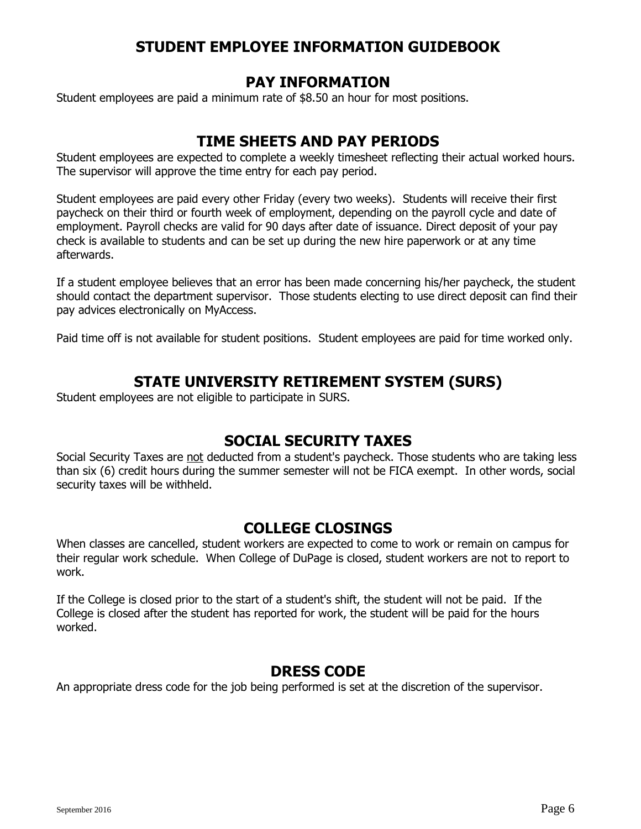### **PAY INFORMATION**

Student employees are paid a minimum rate of \$8.50 an hour for most positions.

## **TIME SHEETS AND PAY PERIODS**

Student employees are expected to complete a weekly timesheet reflecting their actual worked hours. The supervisor will approve the time entry for each pay period.

Student employees are paid every other Friday (every two weeks). Students will receive their first paycheck on their third or fourth week of employment, depending on the payroll cycle and date of employment. Payroll checks are valid for 90 days after date of issuance. Direct deposit of your pay check is available to students and can be set up during the new hire paperwork or at any time afterwards.

If a student employee believes that an error has been made concerning his/her paycheck, the student should contact the department supervisor. Those students electing to use direct deposit can find their pay advices electronically on MyAccess.

Paid time off is not available for student positions. Student employees are paid for time worked only.

## **STATE UNIVERSITY RETIREMENT SYSTEM (SURS)**

Student employees are not eligible to participate in SURS.

## **SOCIAL SECURITY TAXES**

Social Security Taxes are not deducted from a student's paycheck. Those students who are taking less than six (6) credit hours during the summer semester will not be FICA exempt. In other words, social security taxes will be withheld.

### **COLLEGE CLOSINGS**

When classes are cancelled, student workers are expected to come to work or remain on campus for their regular work schedule. When College of DuPage is closed, student workers are not to report to work.

If the College is closed prior to the start of a student's shift, the student will not be paid. If the College is closed after the student has reported for work, the student will be paid for the hours worked.

### **DRESS CODE**

An appropriate dress code for the job being performed is set at the discretion of the supervisor.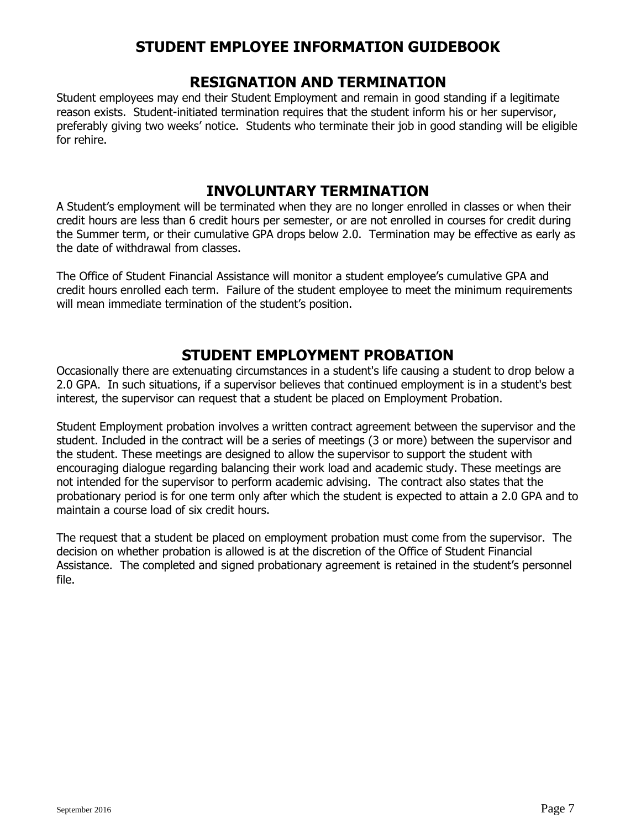### **RESIGNATION AND TERMINATION**

Student employees may end their Student Employment and remain in good standing if a legitimate reason exists. Student-initiated termination requires that the student inform his or her supervisor, preferably giving two weeks' notice. Students who terminate their job in good standing will be eligible for rehire.

## **INVOLUNTARY TERMINATION**

A Student's employment will be terminated when they are no longer enrolled in classes or when their credit hours are less than 6 credit hours per semester, or are not enrolled in courses for credit during the Summer term, or their cumulative GPA drops below 2.0. Termination may be effective as early as the date of withdrawal from classes.

The Office of Student Financial Assistance will monitor a student employee's cumulative GPA and credit hours enrolled each term. Failure of the student employee to meet the minimum requirements will mean immediate termination of the student's position.

## **STUDENT EMPLOYMENT PROBATION**

Occasionally there are extenuating circumstances in a student's life causing a student to drop below a 2.0 GPA. In such situations, if a supervisor believes that continued employment is in a student's best interest, the supervisor can request that a student be placed on Employment Probation.

Student Employment probation involves a written contract agreement between the supervisor and the student. Included in the contract will be a series of meetings (3 or more) between the supervisor and the student. These meetings are designed to allow the supervisor to support the student with encouraging dialogue regarding balancing their work load and academic study. These meetings are not intended for the supervisor to perform academic advising. The contract also states that the probationary period is for one term only after which the student is expected to attain a 2.0 GPA and to maintain a course load of six credit hours.

The request that a student be placed on employment probation must come from the supervisor. The decision on whether probation is allowed is at the discretion of the Office of Student Financial Assistance. The completed and signed probationary agreement is retained in the student's personnel file.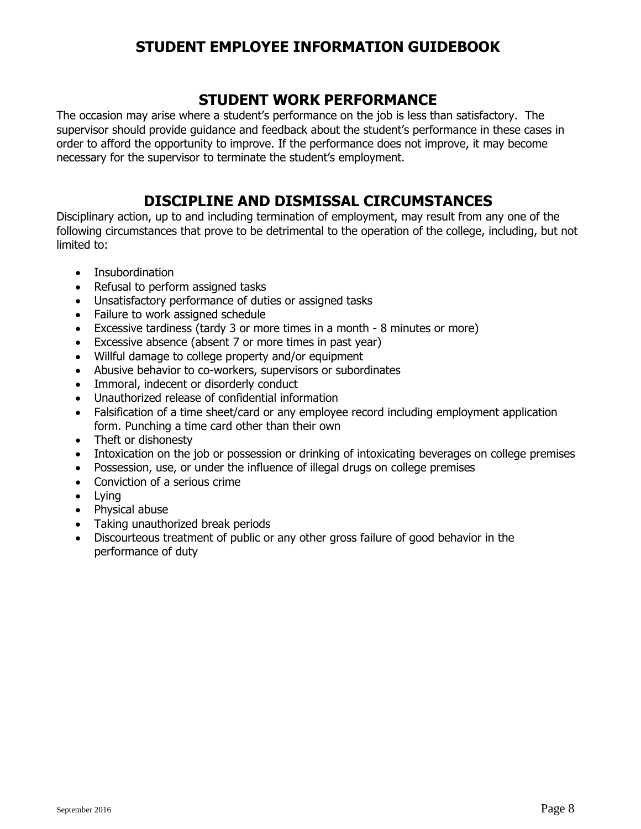## **STUDENT WORK PERFORMANCE**

The occasion may arise where a student's performance on the job is less than satisfactory. The supervisor should provide guidance and feedback about the student's performance in these cases in order to afford the opportunity to improve. If the performance does not improve, it may become necessary for the supervisor to terminate the student's employment.

## **DISCIPLINE AND DISMISSAL CIRCUMSTANCES**

Disciplinary action, up to and including termination of employment, may result from any one of the following circumstances that prove to be detrimental to the operation of the college, including, but not limited to:

- Insubordination
- Refusal to perform assigned tasks
- Unsatisfactory performance of duties or assigned tasks
- Failure to work assigned schedule
- Excessive tardiness (tardy 3 or more times in a month 8 minutes or more)
- Excessive absence (absent 7 or more times in past year)
- Willful damage to college property and/or equipment
- Abusive behavior to co-workers, supervisors or subordinates
- Immoral, indecent or disorderly conduct
- Unauthorized release of confidential information
- Falsification of a time sheet/card or any employee record including employment application form. Punching a time card other than their own
- Theft or dishonesty
- Intoxication on the job or possession or drinking of intoxicating beverages on college premises
- Possession, use, or under the influence of illegal drugs on college premises
- Conviction of a serious crime
- Lying
- Physical abuse
- Taking unauthorized break periods
- Discourteous treatment of public or any other gross failure of good behavior in the performance of duty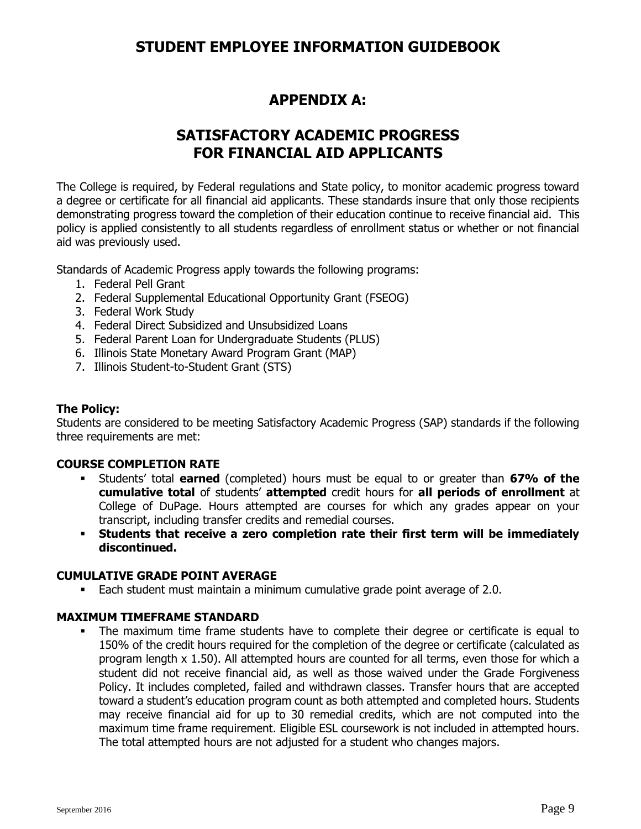## **APPENDIX A:**

## **SATISFACTORY ACADEMIC PROGRESS FOR FINANCIAL AID APPLICANTS**

The College is required, by Federal regulations and State policy, to monitor academic progress toward a degree or certificate for all financial aid applicants. These standards insure that only those recipients demonstrating progress toward the completion of their education continue to receive financial aid. This policy is applied consistently to all students regardless of enrollment status or whether or not financial aid was previously used.

Standards of Academic Progress apply towards the following programs:

- 1. Federal Pell Grant
- 2. Federal Supplemental Educational Opportunity Grant (FSEOG)
- 3. Federal Work Study
- 4. Federal Direct Subsidized and Unsubsidized Loans
- 5. Federal Parent Loan for Undergraduate Students (PLUS)
- 6. Illinois State Monetary Award Program Grant (MAP)
- 7. Illinois Student-to-Student Grant (STS)

#### **The Policy:**

Students are considered to be meeting Satisfactory Academic Progress (SAP) standards if the following three requirements are met:

#### **COURSE COMPLETION RATE**

- Students' total **earned** (completed) hours must be equal to or greater than **67% of the cumulative total** of students' **attempted** credit hours for **all periods of enrollment** at College of DuPage. Hours attempted are courses for which any grades appear on your transcript, including transfer credits and remedial courses.
- **Students that receive a zero completion rate their first term will be immediately discontinued.**

#### **CUMULATIVE GRADE POINT AVERAGE**

Each student must maintain a minimum cumulative grade point average of 2.0.

### **MAXIMUM TIMEFRAME STANDARD**

 The maximum time frame students have to complete their degree or certificate is equal to 150% of the credit hours required for the completion of the degree or certificate (calculated as program length x 1.50). All attempted hours are counted for all terms, even those for which a student did not receive financial aid, as well as those waived under the Grade Forgiveness Policy. It includes completed, failed and withdrawn classes. Transfer hours that are accepted toward a student's education program count as both attempted and completed hours. Students may receive financial aid for up to 30 remedial credits, which are not computed into the maximum time frame requirement. Eligible ESL coursework is not included in attempted hours. The total attempted hours are not adjusted for a student who changes majors.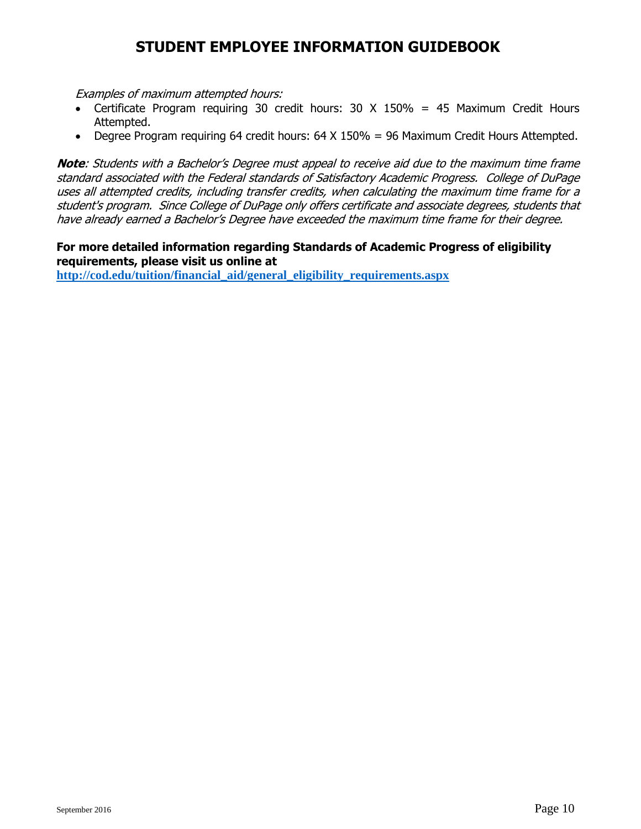Examples of maximum attempted hours:

- Certificate Program requiring 30 credit hours: 30 X 150% = 45 Maximum Credit Hours Attempted.
- Degree Program requiring 64 credit hours: 64 X 150% = 96 Maximum Credit Hours Attempted.

**Note**: Students with a Bachelor's Degree must appeal to receive aid due to the maximum time frame standard associated with the Federal standards of Satisfactory Academic Progress. College of DuPage uses all attempted credits, including transfer credits, when calculating the maximum time frame for a student's program. Since College of DuPage only offers certificate and associate degrees, students that have already earned a Bachelor's Degree have exceeded the maximum time frame for their degree.

#### **For more detailed information regarding Standards of Academic Progress of eligibility requirements, please visit us online at**

**[http://cod.edu/tuition/financial\\_aid/general\\_eligibility\\_requirements.aspx](http://cod.edu/tuition/financial_aid/general_eligibility_requirements.aspx)**